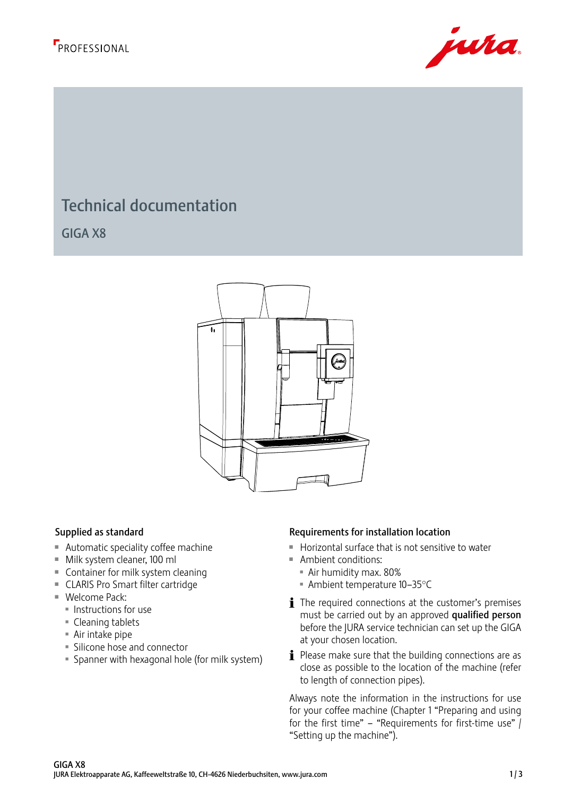



# Technical documentation

GIGA X8

220



- $\blacksquare$  Automatic speciality coffee machine
- Milk system cleaner, 100 ml
- $\blacksquare$  Container for milk system cleaning
- CLARIS Pro Smart filter cartridge
- $\blacksquare$  Welcome Pack:
	- **Instructions for use**
	- $\blacksquare$  Cleaning tablets
	- $\blacksquare$  Air intake pipe
	- **Silicone hose and connector**
	- **Spanner with hexagonal hole (for milk system)**

### Supplied as standard **Requirements for installation location**

- $\blacksquare$  Horizontal surface that is not sensitive to water
- $A$ mbient conditions:
	- **Air humidity max. 80%**
	- $\blacksquare$  Ambient temperature 10–35°C
- $\mathbf i$  The required connections at the customer's premises must be carried out by an approved qualified person before the JURA service technician can set up the GIGA at your chosen location.
- $\mathbf i$  Please make sure that the building connections are as close as possible to the location of the machine (refer to length of connection pipes).

Always note the information in the instructions for use for your coffee machine (Chapter 1 "Preparing and using for the first time" – "Requirements for first-time use"  $\int$ "Setting up the machine").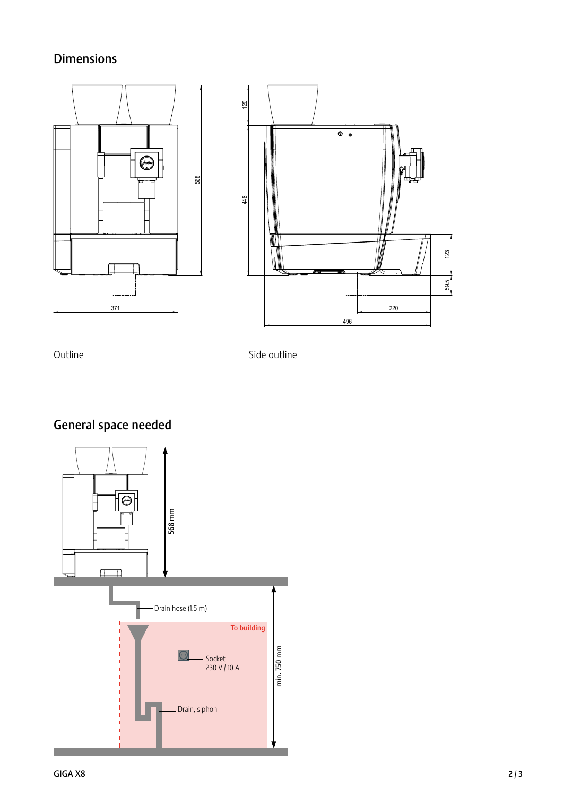## Dimensions





Outline Side outline

General space needed